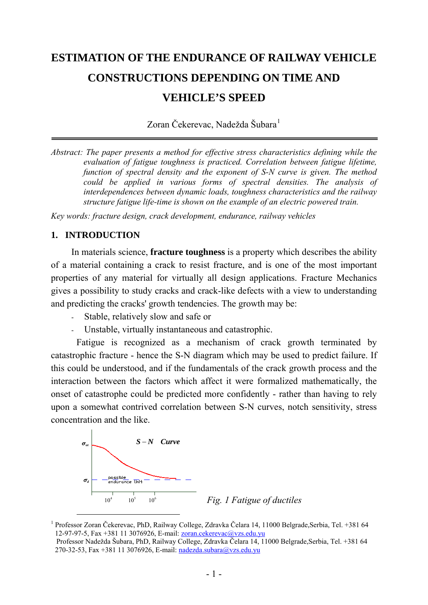# **ESTIMATION OF THE ENDURANCE OF RAILWAY VEHICLE CONSTRUCTIONS DEPENDING ON TIME AND VEHICLE'S SPEED**

Zoran Čekerevac, Nadežda Šubara<sup>[1](#page-0-0)</sup>

*Abstract: The paper presents a method for effective stress characteristics defining while the evaluation of fatigue toughness is practiced. Correlation between fatigue lifetime, function of spectral density and the exponent of S-N curve is given. The method could be applied in various forms of spectral densities. The analysis of interdependences between dynamic loads, toughness characteristics and the railway structure fatigue life-time is shown on the example of an electric powered train.* 

*Key words: fracture design, crack development, endurance, railway vehicles* 

## **1. INTRODUCTION**

In [materials science,](http://en.wikipedia.org/wiki/Materials_science) **fracture toughness** is a property which describes the ability of a material containing a crack to resist [fracture](http://en.wikipedia.org/wiki/Fracture), and is one of the most important properties of any material for virtually all design applications. Fracture Mechanics gives a possibility to study cracks and crack-like defects with a view to understanding and predicting the cracks' growth tendencies. The growth may be:

- Stable, relatively slow and safe or
- Unstable, virtually instantaneous and catastrophic.

Fatigue is recognized as a mechanism of crack growth terminated by catastrophic fracture - hence the S-N diagram which may be used to predict failure. If this could be understood, and if the fundamentals of the crack growth process and the interaction between the factors which affect it were formalized mathematically, the onset of catastrophe could be predicted more confidently - rather than having to rely upon a somewhat contrived correlation between S-N curves, notch sensitivity, stress concentration and the like.





<span id="page-0-0"></span> <sup>1</sup> Professor Zoran Čekerevac, PhD, Railway College, Zdravka Čelara 14, 11000 Belgrade,Serbia, Tel. +381 64 12-97-97-5, Fax +381 11 3076926, E-mail: [zoran.cekerevac@vzs.edu.yu](mailto:zoran.cekerevac@vzs.edu.yu)

Professor Nadežda Šubara, PhD, Railway College, Zdravka Čelara 14, 11000 Belgrade,Serbia, Tel. +381 64 270-32-53, Fax +381 11 3076926, E-mail: [nadezda.subara@vzs.edu.yu](mailto:nadezda.subara@vzs.edu.yu)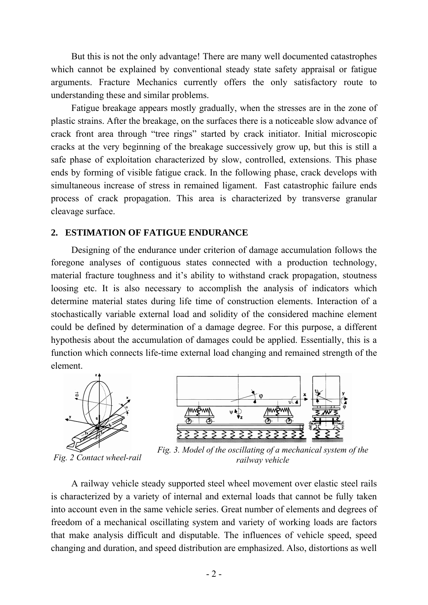But this is not the only advantage! There are many well documented catastrophes which cannot be explained by conventional steady state safety appraisal or fatigue arguments. Fracture Mechanics currently offers the only satisfactory route to understanding these and similar problems.

Fatigue breakage appears mostly gradually, when the stresses are in the zone of plastic strains. After the breakage, on the surfaces there is a noticeable slow advance of crack front area through "tree rings" started by crack initiator. Initial microscopic cracks at the very beginning of the breakage successively grow up, but this is still a safe phase of exploitation characterized by slow, controlled, extensions. This phase ends by forming of visible fatigue crack. In the following phase, crack develops with simultaneous increase of stress in remained ligament. Fast catastrophic failure ends process of crack propagation. This area is characterized by transverse granular cleavage surface.

#### **2. ESTIMATION OF FATIGUE ENDURANCE**

Designing of the endurance under criterion of damage accumulation follows the foregone analyses of contiguous states connected with a production technology, material fracture toughness and it's ability to withstand crack propagation, stoutness loosing etc. It is also necessary to accomplish the analysis of indicators which determine material states during life time of construction elements. Interaction of a stochastically variable external load and solidity of the considered machine element could be defined by determination of a damage degree. For this purpose, a different hypothesis about the accumulation of damages could be applied. Essentially, this is a function which connects life-time external load changing and remained strength of the element.



 $\overline{v}$   $\overline{4}$ *MAA***BAAN** *ww***pww** 3333333333

*Fig. 2 Contact wheel-rail Fig. 3. Model of the oscillating of a mechanical system of the railway vehicle* 

A railway vehicle steady supported steel wheel movement over elastic steel rails is characterized by a variety of internal and external loads that cannot be fully taken into account even in the same vehicle series. Great number of elements and degrees of freedom of a mechanical oscillating system and variety of working loads are factors that make analysis difficult and disputable. The influences of vehicle speed, speed changing and duration, and speed distribution are emphasized. Also, distortions as well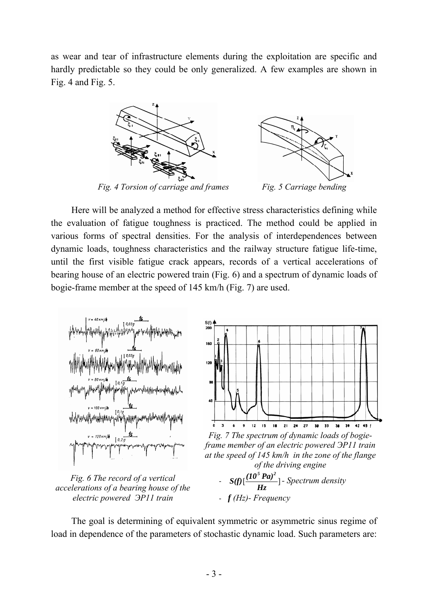as wear and tear of infrastructure elements during the exploitation are specific and hardly predictable so they could be only generalized. A few examples are shown in Fig. 4 and Fig. 5.



*Fig. 4 Torsion of carriage and frames Fig. 5 Carriage bending* 



Here will be analyzed a method for effective stress characteristics defining while the evaluation of fatigue toughness is practiced. The method could be applied in various forms of spectral densities. For the analysis of interdependences between dynamic loads, toughness characteristics and the railway structure fatigue life-time, until the first visible fatigue crack appears, records of a vertical accelerations of bearing house of an electric powered train (Fig. 6) and a spectrum of dynamic loads of bogie-frame member at the speed of 145 km/h (Fig. 7) are used.



*accelerations of a bearing house of the electric powered ЭР11 train* 

 $- S(f) \left[ \frac{(10^5 \text{ Pa})^2}{Hz} \right]$  - Spectrum density - *f (Hz)- Frequency*

The goal is determining of equivalent symmetric or asymmetric sinus regime of load in dependence of the parameters of stochastic dynamic load. Such parameters are: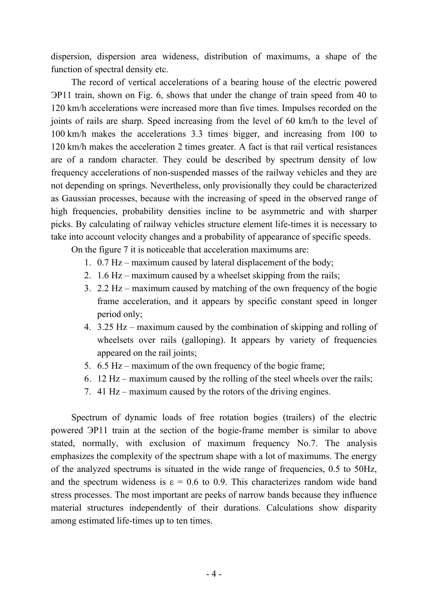dispersion, dispersion area wideness, distribution of maximums, a shape of the function of spectral density etc.

The record of vertical accelerations of a bearing house of the electric powered ЭР11 train, shown on Fig. 6, shows that under the change of train speed from 40 to 120 km/h accelerations were increased more than five times. Impulses recorded on the joints of rails are sharp. Speed increasing from the level of 60 km/h to the level of 100 km/h makes the accelerations 3.3 times bigger, and increasing from 100 to 120 km/h makes the acceleration 2 times greater. A fact is that rail vertical resistances are of a random character. They could be described by spectrum density of low frequency accelerations of non-suspended masses of the railway vehicles and they are not depending on springs. Nevertheless, only provisionally they could be characterized as Gaussian processes, because with the increasing of speed in the observed range of high frequencies, probability densities incline to be asymmetric and with sharper picks. By calculating of railway vehicles structure element life-times it is necessary to take into account velocity changes and a probability of appearance of specific speeds.

On the figure 7 it is noticeable that acceleration maximums are:

- 1. 0.7 Hz maximum caused by lateral displacement of the body;
- 2. 1.6 Hz maximum caused by a wheelset skipping from the rails;
- 3. 2.2 Hz maximum caused by matching of the own frequency of the bogie frame acceleration, and it appears by specific constant speed in longer period only;
- 4. 3.25 Hz maximum caused by the combination of skipping and rolling of wheelsets over rails (galloping). It appears by variety of frequencies appeared on the rail joints;
- 5. 6.5 Hz maximum of the own frequency of the bogie frame;
- 6. 12 Hz maximum caused by the rolling of the steel wheels over the rails;
- 7. 41 Hz maximum caused by the rotors of the driving engines.

Spectrum of dynamic loads of free rotation bogies (trailers) of the electric powered ЭР11 train at the section of the bogie-frame member is similar to above stated, normally, with exclusion of maximum frequency No.7. The analysis emphasizes the complexity of the spectrum shape with a lot of maximums. The energy of the analyzed spectrums is situated in the wide range of frequencies, 0.5 to 50Hz, and the spectrum wideness is  $\varepsilon = 0.6$  to 0.9. This characterizes random wide band stress processes. The most important are peeks of narrow bands because they influence material structures independently of their durations. Calculations show disparity among estimated life-times up to ten times.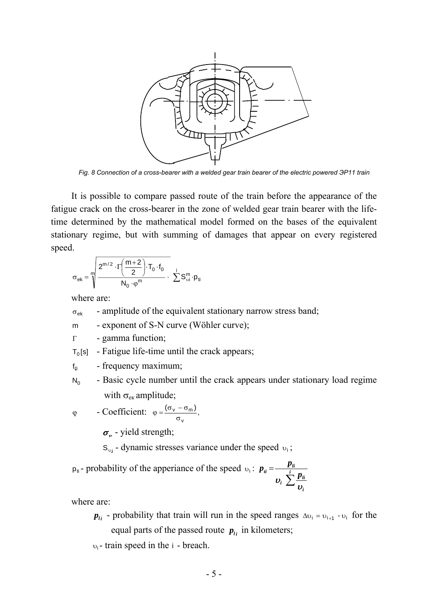

*Fig. 8 Connection of a cross-bearer with a welded gear train bearer of the electric powered ЭР11 train* 

It is possible to compare passed route of the train before the appearance of the fatigue crack on the cross-bearer in the zone of welded gear train bearer with the lifetime determined by the mathematical model formed on the bases of the equivalent stationary regime, but with summing of damages that appear on every registered speed.

$$
\sigma_{ek}=\sqrt[m]{\frac{2^{m/2}\cdot\Gamma\left(\frac{m+2}{2}\right)\cdot T_0\cdot f_0}{N_0\cdot\phi^m}}\cdot\ \sum\limits_{i=0}^{i}S_{\upsilon i}^m\cdot p_{ti}
$$

where are:

- $\sigma_{\rm e k}$  amplitude of the equivalent stationary narrow stress band;
- m exponent of S-N curve (Wöhler curve);
- Γ gamma function;

 $T_0$ [s] - Fatigue life-time until the crack appears;

 $f<sub>o</sub>$  - frequency maximum;

 $N_0$  - Basic cycle number until the crack appears under stationary load regime with  $\sigma_{\rm ex}$  amplitude;

$$
\varphi
$$
 - Coefficient:  $\varphi = \frac{(\sigma_v - \sigma_m)}{\sigma_v}$ ,

 $\sigma_{\nu}$  - yield strength;

 $S_{\nu i}$  - dynamic stresses variance under the speed  $\nu_i$ ;

 $p_{ti}$ - probability of the apperiance of the speed  $v_i$ : ∑  $=\frac{P_{li}}{v_i}\sum_{i}^{i}\frac{p_{li}}{v_i}$ *i*  $\boldsymbol{p}_i = \frac{\boldsymbol{p}_i}{\sum_{i=1}^{i} p_i}$  $p_{ii} = \frac{p}{\sqrt{p}}$ υ υ

where are:

 $p_{li}$  - probability that train will run in the speed ranges  $\Delta v_i = v_{i+1} - v_i$  for the equal parts of the passed route  $p_{i}$  in kilometers;

<sup>υ</sup>i- train speed in the i - breach.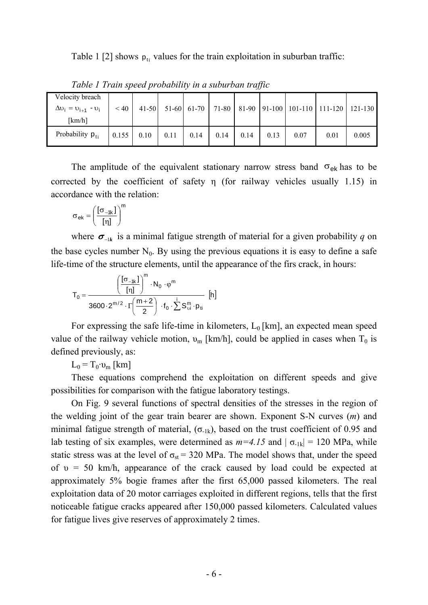Table 1 [2] shows  $p_{ti}$  values for the train exploitation in suburban traffic:

| Velocity breach              |           |      |      |      |      |      |      |      |                                                              |       |
|------------------------------|-----------|------|------|------|------|------|------|------|--------------------------------------------------------------|-------|
| $\Delta v_i = v_{i+1} - v_i$ | $\leq 40$ |      |      |      |      |      |      |      | 41-50 51-60 61-70 71-80 81-90 91-100 101-110 111-120 121-130 |       |
| [km/h]                       |           |      |      |      |      |      |      |      |                                                              |       |
| Probability $p_{ti}$         | 0.155     | 0.10 | 0.11 | 0.14 | 0.14 | 0.14 | 0.13 | 0.07 | 0.01                                                         | 0.005 |

*Table 1 Train speed probability in a suburban traffic* 

The amplitude of the equivalent stationary narrow stress band  $\sigma_{ek}$  has to be corrected by the coefficient of safety η (for railway vehicles usually 1.15) in accordance with the relation:

$$
\sigma_{ek} = \left(\frac{[\sigma_{-1k}]}{[\eta]} \right)^m
$$

where  $\sigma_{-1k}$  is a minimal fatigue strength of material for a given probability *q* on the base cycles number  $N_0$ . By using the previous equations it is easy to define a safe life-time of the structure elements, until the appearance of the firs crack, in hours:

$$
T_0=\dfrac{\left(\dfrac{[\sigma_{-1k}]}{[\eta]}\right)^m\cdot N_0\cdot \phi^m}{3600\cdot 2^{m/2}\cdot \Gamma\left(\dfrac{m+2}{2}\right)\cdot f_0\cdot \sum \limits_{}^i S^m_{\text{vi}}\cdot p_{\text{ti}}}\;\;[h]
$$

For expressing the safe life-time in kilometers,  $L_0$  [km], an expected mean speed value of the railway vehicle motion,  $v_m$  [km/h], could be applied in cases when  $T_0$  is defined previously, as:

 $L_0 = T_0 \cdot v_m$  [km]

These equations comprehend the exploitation on different speeds and give possibilities for comparison with the fatigue laboratory testings.

On Fig. 9 several functions of spectral densities of the stresses in the region of the welding joint of the gear train bearer are shown. Exponent S-N curves (*m*) and minimal fatigue strength of material,  $(\sigma_{1k})$ , based on the trust coefficient of 0.95 and lab testing of six examples, were determined as  $m=4.15$  and  $|\sigma_{1k}| = 120$  MPa, while static stress was at the level of  $\sigma_{st}$  = 320 MPa. The model shows that, under the speed of  $v = 50$  km/h, appearance of the crack caused by load could be expected at approximately 5% bogie frames after the first 65,000 passed kilometers. The real exploitation data of 20 motor carriages exploited in different regions, tells that the first noticeable fatigue cracks appeared after 150,000 passed kilometers. Calculated values for fatigue lives give reserves of approximately 2 times.